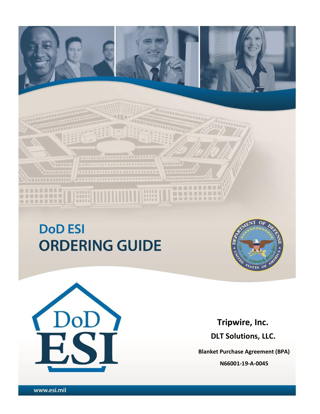# **DoD ESI ORDERING GUIDE**

........................

------------------------

UNARSSERMANNERSERMEN



,,,,,,,,,,,,,,,,,

**BURNEY** B

**HRRHHHMMM** 

**图 图 图 图** 

----------

**MANNELLINE** 



**Tripwire, Inc. DLT Solutions, LLC.**

**Blanket Purchase Agreement (BPA) N66001-19-A-0045**

1 Version Dated: 23 February 2018 - 23 February 2018 - 23 February 2018 - 23 February 2018 - 23 February 2018<br>2018 - 23 February 2018 - 23 February 2018 - 23 February 2018 - 23 February 2018 - 23 February 2018 - 23 Febru

**NAMARA AREA ERE** 

dumman

min

Lum

-----------

*RUBBURNERUS* 

. . . . . . . . .

**MONDON** 

-------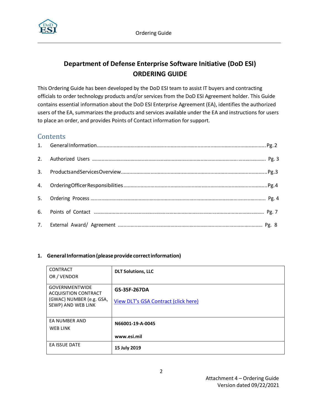

# **Department of Defense Enterprise Software Initiative (DoD ESI) ORDERING GUIDE**

This Ordering Guide has been developed by the DoD ESI team to assist IT buyers and contracting officials to order technology products and/or services from the DoD ESI Agreement holder. This Guide contains essential information about the DoD ESI Enterprise Agreement (EA), identifies the authorized users of the EA, summarizes the products and services available under the EA and instructions for users to place an order, and provides Points of Contact information for support.

# **Contents**

## 1. **General Information (please provide correct information)**

| <b>CONTRACT</b><br>OR / VENDOR                                                                         | <b>DLT Solutions, LLC</b>                            |
|--------------------------------------------------------------------------------------------------------|------------------------------------------------------|
| <b>GOVERNMENTWIDE</b><br><b>ACQUISITION CONTRACT</b><br>(GWAC) NUMBER (e.g. GSA,<br>SEWP) AND WEB LINK | GS-35F-267DA<br>View DLT's GSA Contract (click here) |
| EA NUMBER AND<br>WEB LINK                                                                              | N66001-19-A-0045<br>www.esi.mil                      |
| EA ISSUE DATE                                                                                          | 15 July 2019                                         |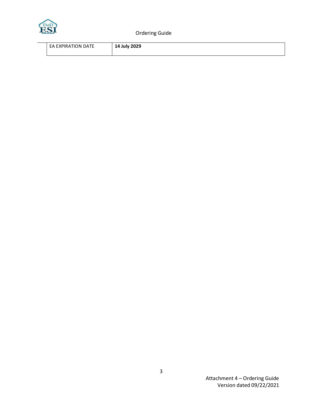

Ordering Guide

| ON DATE<br>l I (<br><b>FXPIR</b><br>FΔ | <b>July 2029</b><br>14<br>--<br>$-1$ |
|----------------------------------------|--------------------------------------|
|                                        |                                      |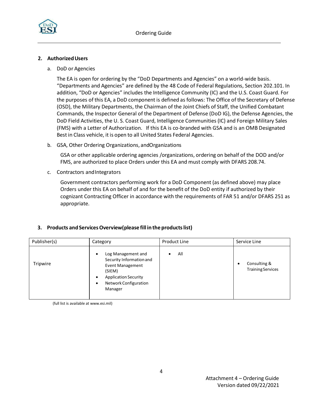

#### **2. AuthorizedUsers**

a. DoD or Agencies

The EA is open for ordering by the "DoD Departments and Agencies" on a world-wide basis. "Departments and Agencies" are defined by the 48 Code of Federal Regulations, Section 202.101. In addition, "DoD or Agencies" includes the Intelligence Community (IC) and the U.S. Coast Guard. For the purposes of this EA, a DoD component is defined as follows: The Office of the Secretary of Defense (OSD), the Military Departments, the Chairman of the Joint Chiefs of Staff, the Unified Combatant Commands, the Inspector General of the Department of Defense (DoD IG), the Defense Agencies, the DoD Field Activities, the U. S. Coast Guard, Intelligence Communities (IC) and Foreign Military Sales (FMS) with a Letter of Authorization. If this EA is co-branded with GSA and is an OMB Designated Best in Class vehicle, it is open to all United States Federal Agencies.

b. GSA, Other Ordering Organizations, andOrganizations

GSA or other applicable ordering agencies /organizations, ordering on behalf of the DOD and/or FMS, are authorized to place Orders under this EA and must comply with DFARS 208.74.

c. Contractors andIntegrators

Government contractors performing work for a DoD Component (as defined above) may place Orders under this EA on behalf of and for the benefit of the DoD entity if authorized by their cognizant Contracting Officer in accordance with the requirements of FAR 51 and/or DFARS 251 as appropriate.

#### **3. Products and ServicesOverview(please fill in the productslist)**

| Publisher(s) | Category                                                                                                                                                                 | Product Line | Service Line                                  |  |
|--------------|--------------------------------------------------------------------------------------------------------------------------------------------------------------------------|--------------|-----------------------------------------------|--|
| Tripwire     | Log Management and<br>٠<br>Security Information and<br><b>Event Management</b><br>(SIEM)<br><b>Application Security</b><br>Network Configuration<br>$\bullet$<br>Manager | All          | Consulting &<br>٠<br><b>Training Services</b> |  |

(full list is available at www.esi.mil)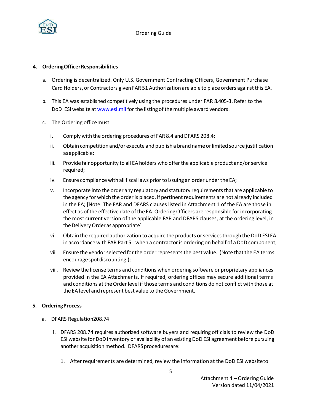

#### **4. OrderingOfficerResponsibilities**

- a. Ordering is decentralized. Only U.S. Government Contracting Officers, Government Purchase Card Holders, or Contractors given FAR 51 Authorization are able to place orders against this EA.
- b. This EA was established competitively using the procedures under FAR 8.405-3. Refer to the DoD ESI website at [www.esi.mil](http://www.esi.mil/) for the listing of the multiple award vendors.
- c. The Ordering officemust:
	- i. Comply with the ordering procedures of FAR 8.4 and DFARS 208.4;
	- ii. Obtain competition and/or execute and publish a brand name or limited source justification asapplicable;
	- iii. Provide fair opportunity to all EA holders who offerthe applicable [product](http://www.esi.mil/) and/orservice required;
	- iv. Ensure compliance with all fiscal laws prior to issuing an order under the EA;
	- v. Incorporate into the order any regulatory and statutory requirementsthat are applicable to the agency for which the order is placed, if pertinent requirements are not already included in the EA; [Note: The FAR and DFARS clauses listed in Attachment 1 of the EA are those in effect as of the effective date of the EA. Ordering Officers are responsible for incorporating the most current version of the applicable FAR and DFARS clauses, at the ordering level, in the Delivery Order as appropriate]
	- vi. Obtain the required authorization to acquire the products orservicesthrough the DoD ESI EA in accordance with FAR Part 51 when a contractoris ordering on behalf of a DoD component;
	- vii. Ensure the vendor selected for the order represents the best value. (Note that the EA terms encouragespotdiscounting.);
	- viii. Review the license terms and conditions when ordering software or proprietary appliances provided in the EA Attachments. If required, ordering offices may secure additional terms and conditions at the Order level if those terms and conditions do not conflict with those at the EA level and represent best value to the Government.

#### <span id="page-4-0"></span>**5. OrderingProcess**

- a. DFARS Regulation208.74
	- i. DFARS 208.74 requires authorized software buyers and requiring officials to review the DoD ESI website for DoD inventory or availability of an existing DoD ESI agreement before pursuing another acquisition method. DFARS proceduresare:
		- 1. After requirements are determined, review the information at the DoD ESI websiteto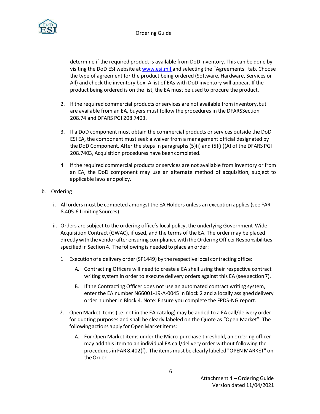

determine if the required product is available from DoD inventory. This can be done by visiting the DoD ESI website at [www.esi.mil](http://www.esi.mil/) and selecting the "Agreements" tab. Choose the type of agreement for the product being ordered (Software, Hardware, Services or All) and check the inventory box. A list of EAs with DoD inventory will appear. If the product being ordered is on the list, the EA must be used to procure the product.

- 2. If the required commercial products or services are not available from inventory, but are available from an EA, buyers must follow the procedures in the DFARSSection 208.74 and DFARS PGI 208.7403.
- 3. If a DoD component must obtain the commercial products or services outside the DoD ESI EA, the component must seek a waiver from a management official designated by the DoD Component. After the steps in paragraphs (5)(i) and (5)(ii)(A) of the DFARS PGI 208.7403, Acquisition procedures have beencompleted.
- 4. If the required commercial products or services are not available from inventory or from an EA, the DoD component may use an alternate method of acquisition, subject to applicable laws andpolicy.
- b. Ordering
	- i. All orders must be competed amongst the EA Holders unless an exception applies (see FAR 8.405-6 Limiting Sources).
	- ii. Orders are subject to the ordering office's local policy, the underlying Government-Wide Acquisition Contract (GWAC), if used, and the terms of the EA. The order may be placed directly with the vendor after ensuring compliance with the Ordering Officer Responsibilities specified in Section 4. The following is needed to place an order:
		- 1. Executionof a delivery order(SF1449) by the respective local contracting office:
			- A. Contracting Officers will need to create a EA shell using their respective contract writing system in order to execute delivery orders against this EA (see section7).
			- B. If the Contracting Officer does not use an automated contract writing system, enter the EA number N66001-19-A-0045 in Block 2 and a locally assigned delivery order number in Block 4. Note: Ensure you complete the FPDS-NG report.
		- 2. Open Market items (i.e. not in the EA catalog) may be added to a EA call/delivery order for quoting purposes and shall be clearly labeled on the Quote as "Open Market". The following actions apply for Open Market items:
			- A. For Open Market items under the Micro-purchase threshold, an ordering officer may add this item to an individual EA call/delivery order without following the proceduresin FAR 8.402(f). The items must be clearly labeled "OPEN MARKET" on theOrder.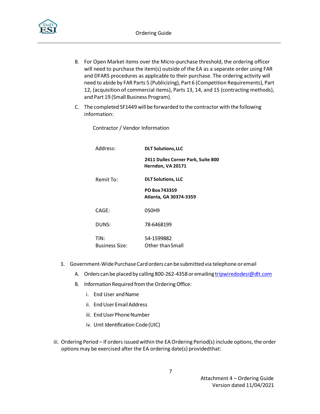

- B. For Open Market items over the Micro-purchase threshold, the ordering officer will need to purchase the item(s) outside of the EA as a separate order using FAR and DFARS procedures as applicable to their purchase. The ordering activity will need to abide by FAR Parts 5 (Publicizing), Part 6 (Competition Requirements), Part 12, (acquisition of commercial items), Parts 13, 14, and 15 (contracting methods), and Part 19 (Small Business Program).
- C. The completed SF1449 will be forwarded to the contractor with the following information:

Contractor / Vendor Information

| Address:               | <b>DLT Solutions, LLC</b>                               |  |  |  |
|------------------------|---------------------------------------------------------|--|--|--|
|                        | 2411 Dulles Corner Park, Suite 800<br>Herndon, VA 20171 |  |  |  |
| Remit To:              | <b>DLT Solutions, LLC</b>                               |  |  |  |
|                        | PO Box 743359<br>Atlanta, GA 30374-3359                 |  |  |  |
| CAGE:                  | 0SOH9                                                   |  |  |  |
| DUNS:                  | 78-6468199                                              |  |  |  |
| TIN:<br>Business Size: | 54-1599882<br>Other than Small                          |  |  |  |

- 3. Government-WidePurchaseCardorders canbesubmittedvia telephone or email
	- A. Orders can be placed by calling 800-262-4358 or emailing [tripwiredodesi@dlt.com](mailto:tripwiredodesi@dlt.com)
	- B. Information Required from the Ordering Office:
		- i. End User and Name
		- ii. End User Email Address
		- iii. End User Phone Number
		- iv. Unit Identification Code(UIC)
- iii. Ordering Period If orders issued within the EA Ordering Period(s) include options, the order options may be exercised after the EA ordering date(s) providedthat: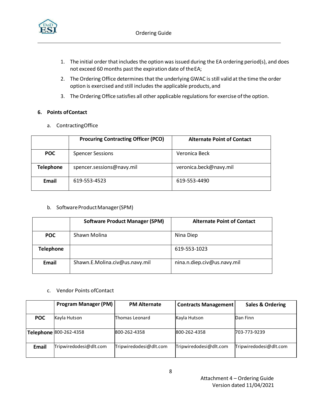

- 1. The initial order that includes the option was issued during the EA ordering period(s), and does not exceed 60 months past the expiration date of theEA;
- 2. The Ordering Office determines that the underlying GWAC is still valid at the time the order option is exercised and still includes the applicable products, and
- 3. The Ordering Office satisfies all other applicable regulations for exercise of the option.

#### **6. Points ofContact**

a. ContractingOffice

|                       | <b>Procuring Contracting Officer (PCO)</b> | <b>Alternate Point of Contact</b> |  |  |
|-----------------------|--------------------------------------------|-----------------------------------|--|--|
| <b>POC</b>            | <b>Spencer Sessions</b>                    | Veronica Beck                     |  |  |
| <b>Telephone</b>      | spencer.sessions@navy.mil                  | veronica.beck@navy.mil            |  |  |
| Email<br>619-553-4523 |                                            | 619-553-4490                      |  |  |

#### b. Software Product Manager (SPM)

| <b>Software Product Manager (SPM)</b>   |              | <b>Alternate Point of Contact</b> |  |  |
|-----------------------------------------|--------------|-----------------------------------|--|--|
| <b>POC</b>                              | Shawn Molina | Nina Diep                         |  |  |
| <b>Telephone</b>                        |              | 619-553-1023                      |  |  |
| Email<br>Shawn.E.Molina.civ@us.navy.mil |              | nina.n.diep.civ@us.navy.mil       |  |  |

#### c. Vendor Points ofContact

| <b>Program Manager (PM)</b>     |                        | <b>PM Alternate</b><br><b>Contracts Management</b> |                        | <b>Sales &amp; Ordering</b> |  |
|---------------------------------|------------------------|----------------------------------------------------|------------------------|-----------------------------|--|
| Kayla Hutson<br><b>POC</b>      |                        | Kayla Hutson<br>Thomas Leonard                     |                        | Dan Finn                    |  |
|                                 | Telephone 800-262-4358 | 800-262-4358                                       | 800-262-4358           | 703-773-9239                |  |
| Tripwiredodesi@dlt.com<br>Email |                        | Tripwiredodesi@dlt.com                             | Tripwiredodesi@dlt.com | Tripwiredodesi@dlt.com      |  |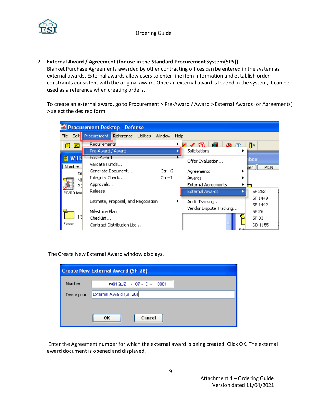

## **7. External Award / Agreement (for use in the Standard ProcurementSystem(SPS))**

Blanket Purchase Agreements awarded by other contracting offices can be entered in the system as external awards. External awards allow users to enter line item information and establish order constraints consistent with the original award. Once an external award is loaded in the system, it can be used as a reference when creating orders.

To create an external award, go to Procurement > Pre-Award / Award > External Awards (or Agreements) > select the desired form.

| Procurement Desktop - Defense     |                                                                                        |                |                                                                       |                                   |  |  |  |
|-----------------------------------|----------------------------------------------------------------------------------------|----------------|-----------------------------------------------------------------------|-----------------------------------|--|--|--|
| File                              | Edit Procurement Reference Utilities                                                   | Window<br>Help |                                                                       |                                   |  |  |  |
| 團<br>颜丽<br>Willia<br>Number<br>ra | Requirements<br>Pre-Award / Award<br>Post-Award<br>Validate Funds<br>Generate Document | Ctrl+G         | ÆП<br>മ ര<br>, ⁄6\<br>Solicitations<br>Offer Evaluation<br>Agreements | ll۰<br><b>box</b><br>MCN.<br>ber. |  |  |  |
| N٤<br>Рú<br>PO/DO Mod             | Integrity Check<br>Approvals<br>Release                                                | Ctrl+I         | Awards<br><b>External Agreements</b><br><b>External Awards</b>        | SF 252                            |  |  |  |
|                                   | Estimate, Proposal, and Negotiation<br>Milestone Plan                                  |                | Audit Tracking<br>Vendor Dispute Tracking                             | SF 1449<br>SF 1442<br>SF 26       |  |  |  |
| 13<br>Folder                      | Checklist<br>Contract Distribution List                                                |                |                                                                       | SF 33<br>DD 1155                  |  |  |  |

The Create New External Award window displays.

| <b>Create New External Award (SF 26)</b> |                        |  |  |  |  |
|------------------------------------------|------------------------|--|--|--|--|
| Number:                                  | W91QUZ - 07 - D - 0001 |  |  |  |  |
| Description:                             | External Award (SF 26) |  |  |  |  |
|                                          |                        |  |  |  |  |
|                                          | Cancel<br>ок           |  |  |  |  |

Enter the Agreement number for which the external award is being created. Click OK. The external award document is opened and displayed.